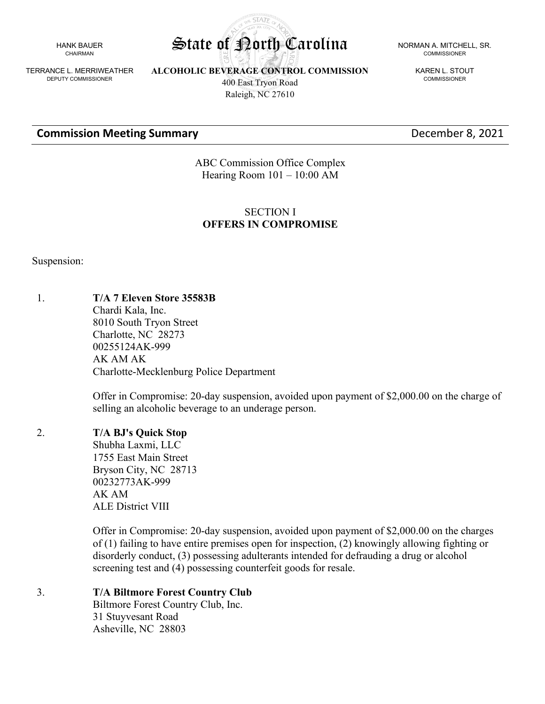HANK BAUER CHAIRMAN

TERRANCE L. MERRIWEATHER DEPUTY COMMISSIONER

**ALCOHOLIC BEVERAGE CONTROL COMMISSION** 400 East Tryon Road

Raleigh, NC 27610

COMMISSIONER

KAREN L. STOUT COMMISSIONER

## **Commission Meeting Summary** December 8, 2021

ABC Commission Office Complex Hearing Room 101 – 10:00 AM

# SECTION I **OFFERS IN COMPROMISE**

Suspension:

#### 1. **T/A 7 Eleven Store 35583B**

Chardi Kala, Inc. 8010 South Tryon Street Charlotte, NC 28273 00255124AK-999 AK AM AK Charlotte-Mecklenburg Police Department

Offer in Compromise: 20-day suspension, avoided upon payment of \$2,000.00 on the charge of selling an alcoholic beverage to an underage person.

#### 2. **T/A BJ's Quick Stop**

Shubha Laxmi, LLC 1755 East Main Street Bryson City, NC 28713 00232773AK-999 AK AM ALE District VIII

Offer in Compromise: 20-day suspension, avoided upon payment of \$2,000.00 on the charges of (1) failing to have entire premises open for inspection, (2) knowingly allowing fighting or disorderly conduct, (3) possessing adulterants intended for defrauding a drug or alcohol screening test and (4) possessing counterfeit goods for resale.

#### 3. **T/A Biltmore Forest Country Club**

Biltmore Forest Country Club, Inc. 31 Stuyvesant Road Asheville, NC 28803

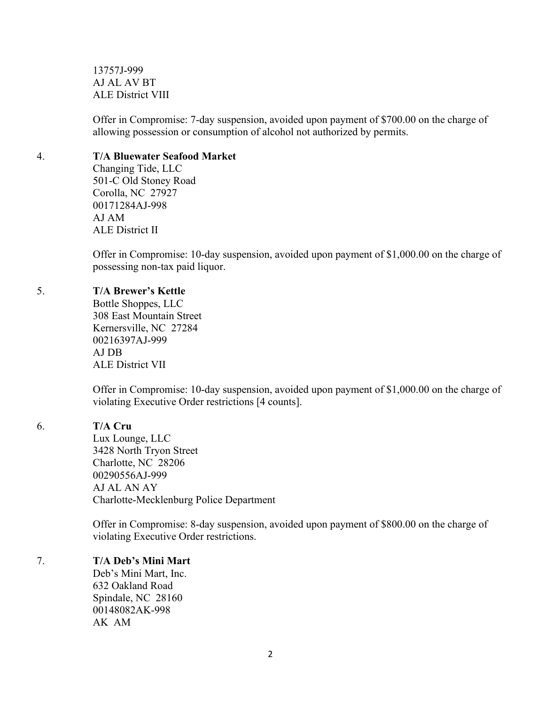13757J-999 AJ AL AV BT ALE District VIII

Offer in Compromise: 7-day suspension, avoided upon payment of \$700.00 on the charge of allowing possession or consumption of alcohol not authorized by permits.

#### 4. **T/A Bluewater Seafood Market**

Changing Tide, LLC 501-C Old Stoney Road Corolla, NC 27927 00171284AJ-998 AJ AM ALE District II

Offer in Compromise: 10-day suspension, avoided upon payment of \$1,000.00 on the charge of possessing non-tax paid liquor.

## 5. **T/A Brewer's Kettle**

Bottle Shoppes, LLC 308 East Mountain Street Kernersville, NC 27284 00216397AJ-999 AJ DB ALE District VII

Offer in Compromise: 10-day suspension, avoided upon payment of \$1,000.00 on the charge of violating Executive Order restrictions [4 counts].

# 6. **T/A Cru**

Lux Lounge, LLC 3428 North Tryon Street Charlotte, NC 28206 00290556AJ-999 AJ AL AN AY Charlotte-Mecklenburg Police Department

Offer in Compromise: 8-day suspension, avoided upon payment of \$800.00 on the charge of violating Executive Order restrictions.

# 7. **T/A Deb's Mini Mart**

Deb's Mini Mart, Inc. 632 Oakland Road Spindale, NC 28160 00148082AK-998 AK AM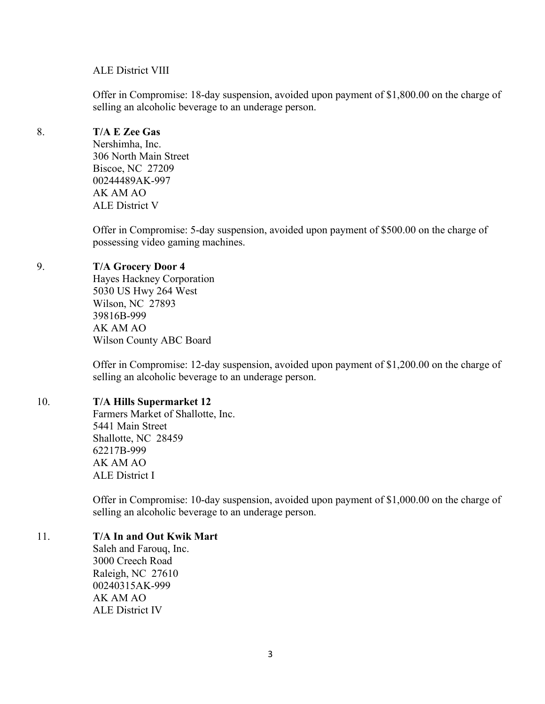#### ALE District VIII

Offer in Compromise: 18-day suspension, avoided upon payment of \$1,800.00 on the charge of selling an alcoholic beverage to an underage person.

# 8. **T/A E Zee Gas**

Nershimha, Inc. 306 North Main Street Biscoe, NC 27209 00244489AK-997 AK AM AO ALE District V

Offer in Compromise: 5-day suspension, avoided upon payment of \$500.00 on the charge of possessing video gaming machines.

## 9. **T/A Grocery Door 4**

Hayes Hackney Corporation 5030 US Hwy 264 West Wilson, NC 27893 39816B-999 AK AM AO Wilson County ABC Board

Offer in Compromise: 12-day suspension, avoided upon payment of \$1,200.00 on the charge of selling an alcoholic beverage to an underage person.

#### 10. **T/A Hills Supermarket 12**

Farmers Market of Shallotte, Inc. 5441 Main Street Shallotte, NC 28459 62217B-999 AK AM AO ALE District I

Offer in Compromise: 10-day suspension, avoided upon payment of \$1,000.00 on the charge of selling an alcoholic beverage to an underage person.

#### 11. **T/A In and Out Kwik Mart**

Saleh and Farouq, Inc. 3000 Creech Road Raleigh, NC 27610 00240315AK-999 AK AM AO ALE District IV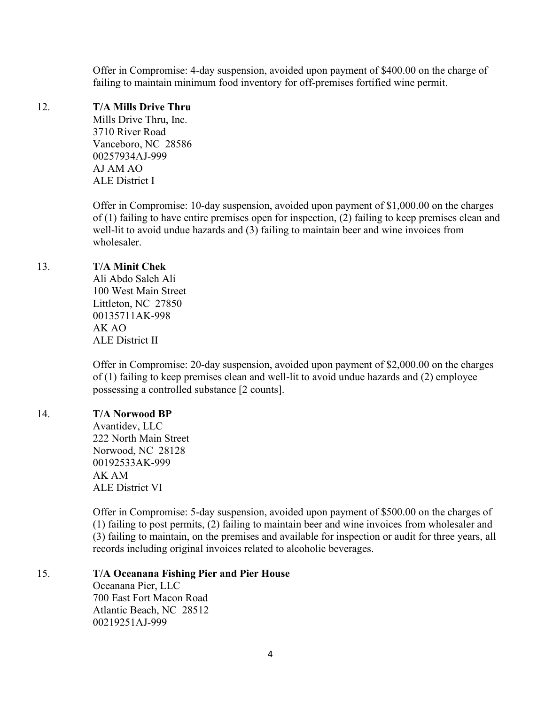Offer in Compromise: 4-day suspension, avoided upon payment of \$400.00 on the charge of failing to maintain minimum food inventory for off-premises fortified wine permit.

#### 12. **T/A Mills Drive Thru**

Mills Drive Thru, Inc. 3710 River Road Vanceboro, NC 28586 00257934AJ-999 AJ AM AO ALE District I

Offer in Compromise: 10-day suspension, avoided upon payment of \$1,000.00 on the charges of (1) failing to have entire premises open for inspection, (2) failing to keep premises clean and well-lit to avoid undue hazards and (3) failing to maintain beer and wine invoices from wholesaler.

#### 13. **T/A Minit Chek**

Ali Abdo Saleh Ali 100 West Main Street Littleton, NC 27850 00135711AK-998 AK AO ALE District II

Offer in Compromise: 20-day suspension, avoided upon payment of \$2,000.00 on the charges of (1) failing to keep premises clean and well-lit to avoid undue hazards and (2) employee possessing a controlled substance [2 counts].

# 14. **T/A Norwood BP**

Avantidev, LLC 222 North Main Street Norwood, NC 28128 00192533AK-999 AK AM ALE District VI

Offer in Compromise: 5-day suspension, avoided upon payment of \$500.00 on the charges of (1) failing to post permits, (2) failing to maintain beer and wine invoices from wholesaler and (3) failing to maintain, on the premises and available for inspection or audit for three years, all records including original invoices related to alcoholic beverages.

#### 15. **T/A Oceanana Fishing Pier and Pier House**

Oceanana Pier, LLC 700 East Fort Macon Road Atlantic Beach, NC 28512 00219251AJ-999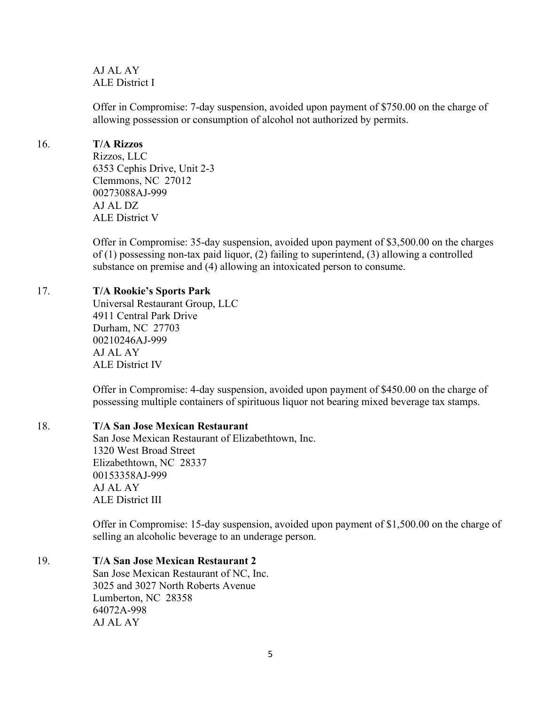AJ AL AY ALE District I

Offer in Compromise: 7-day suspension, avoided upon payment of \$750.00 on the charge of allowing possession or consumption of alcohol not authorized by permits.

### 16. **T/A Rizzos**

Rizzos, LLC 6353 Cephis Drive, Unit 2-3 Clemmons, NC 27012 00273088AJ-999 AJ AL DZ ALE District V

Offer in Compromise: 35-day suspension, avoided upon payment of \$3,500.00 on the charges of (1) possessing non-tax paid liquor, (2) failing to superintend, (3) allowing a controlled substance on premise and (4) allowing an intoxicated person to consume.

# 17. **T/A Rookie's Sports Park**

Universal Restaurant Group, LLC 4911 Central Park Drive Durham, NC 27703 00210246AJ-999 AJ AL AY ALE District IV

Offer in Compromise: 4-day suspension, avoided upon payment of \$450.00 on the charge of possessing multiple containers of spirituous liquor not bearing mixed beverage tax stamps.

# 18. **T/A San Jose Mexican Restaurant**

San Jose Mexican Restaurant of Elizabethtown, Inc. 1320 West Broad Street Elizabethtown, NC 28337 00153358AJ-999 AJ AL AY ALE District III

Offer in Compromise: 15-day suspension, avoided upon payment of \$1,500.00 on the charge of selling an alcoholic beverage to an underage person.

# 19. **T/A San Jose Mexican Restaurant 2**

San Jose Mexican Restaurant of NC, Inc. 3025 and 3027 North Roberts Avenue Lumberton, NC 28358 64072A-998 AJ AL AY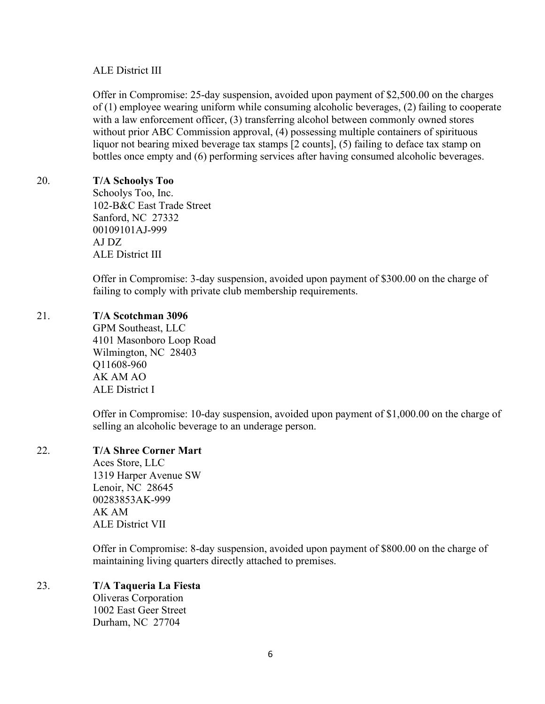## ALE District III

Offer in Compromise: 25-day suspension, avoided upon payment of \$2,500.00 on the charges of (1) employee wearing uniform while consuming alcoholic beverages, (2) failing to cooperate with a law enforcement officer, (3) transferring alcohol between commonly owned stores without prior ABC Commission approval, (4) possessing multiple containers of spirituous liquor not bearing mixed beverage tax stamps [2 counts], (5) failing to deface tax stamp on bottles once empty and (6) performing services after having consumed alcoholic beverages.

## 20. **T/A Schoolys Too**

Schoolys Too, Inc. 102-B&C East Trade Street Sanford, NC 27332 00109101AJ-999 AJ DZ ALE District III

Offer in Compromise: 3-day suspension, avoided upon payment of \$300.00 on the charge of failing to comply with private club membership requirements.

## 21. **T/A Scotchman 3096**

GPM Southeast, LLC 4101 Masonboro Loop Road Wilmington, NC 28403 Q11608-960 AK AM AO ALE District I

Offer in Compromise: 10-day suspension, avoided upon payment of \$1,000.00 on the charge of selling an alcoholic beverage to an underage person.

# 22. **T/A Shree Corner Mart**

Aces Store, LLC 1319 Harper Avenue SW Lenoir, NC 28645 00283853AK-999 AK AM ALE District VII

Offer in Compromise: 8-day suspension, avoided upon payment of \$800.00 on the charge of maintaining living quarters directly attached to premises.

# 23. **T/A Taqueria La Fiesta**

Oliveras Corporation 1002 East Geer Street Durham, NC 27704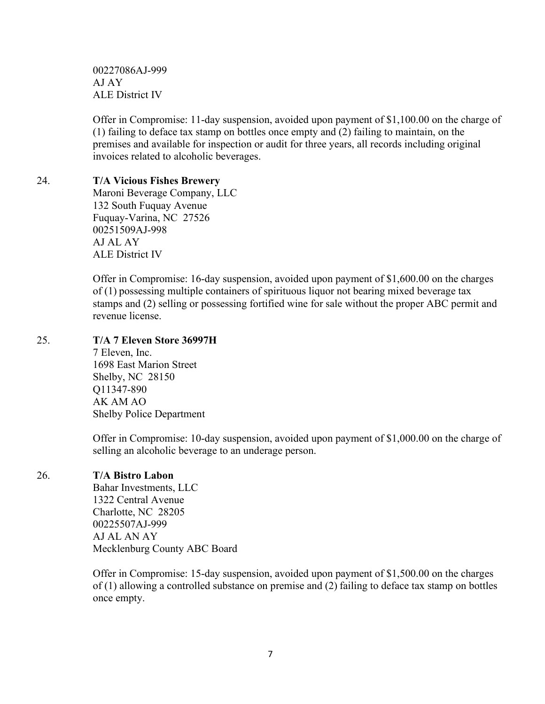00227086AJ-999 AJ AY ALE District IV

Offer in Compromise: 11-day suspension, avoided upon payment of \$1,100.00 on the charge of (1) failing to deface tax stamp on bottles once empty and (2) failing to maintain, on the premises and available for inspection or audit for three years, all records including original invoices related to alcoholic beverages.

## 24. **T/A Vicious Fishes Brewery**

Maroni Beverage Company, LLC 132 South Fuquay Avenue Fuquay-Varina, NC 27526 00251509AJ-998 AJ AL AY ALE District IV

Offer in Compromise: 16-day suspension, avoided upon payment of \$1,600.00 on the charges of (1) possessing multiple containers of spirituous liquor not bearing mixed beverage tax stamps and (2) selling or possessing fortified wine for sale without the proper ABC permit and revenue license.

## 25. **T/A 7 Eleven Store 36997H**

7 Eleven, Inc. 1698 East Marion Street Shelby, NC 28150 Q11347-890 AK AM AO Shelby Police Department

Offer in Compromise: 10-day suspension, avoided upon payment of \$1,000.00 on the charge of selling an alcoholic beverage to an underage person.

# 26. **T/A Bistro Labon**

Bahar Investments, LLC 1322 Central Avenue Charlotte, NC 28205 00225507AJ-999 AJ AL AN AY Mecklenburg County ABC Board

Offer in Compromise: 15-day suspension, avoided upon payment of \$1,500.00 on the charges of (1) allowing a controlled substance on premise and (2) failing to deface tax stamp on bottles once empty.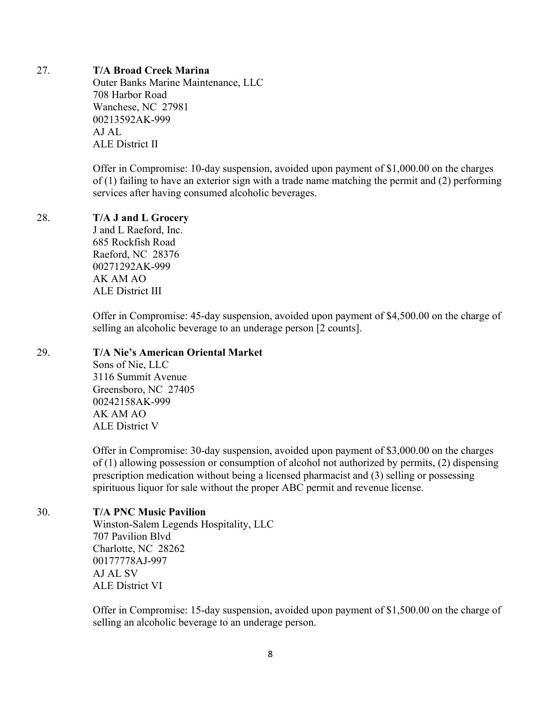#### 27. **T/A Broad Creek Marina**

Outer Banks Marine Maintenance, LLC 708 Harbor Road Wanchese, NC 27981 00213592AK-999 AJ AL ALE District II

Offer in Compromise: 10-day suspension, avoided upon payment of \$1,000.00 on the charges of (1) failing to have an exterior sign with a trade name matching the permit and (2) performing services after having consumed alcoholic beverages.

#### 28. **T/A J and L Grocery**

J and L Raeford, Inc. 685 Rockfish Road Raeford, NC 28376 00271292AK-999 AK AM AO ALE District III

Offer in Compromise: 45-day suspension, avoided upon payment of \$4,500.00 on the charge of selling an alcoholic beverage to an underage person [2 counts].

#### 29. **T/A Nie's American Oriental Market**

Sons of Nie, LLC 3116 Summit Avenue Greensboro, NC 27405 00242158AK-999 AK AM AO ALE District V

Offer in Compromise: 30-day suspension, avoided upon payment of \$3,000.00 on the charges of (1) allowing possession or consumption of alcohol not authorized by permits, (2) dispensing prescription medication without being a licensed pharmacist and (3) selling or possessing spirituous liquor for sale without the proper ABC permit and revenue license.

#### 30. **T/A PNC Music Pavilion**

Winston-Salem Legends Hospitality, LLC 707 Pavilion Blvd Charlotte, NC 28262 00177778AJ-997 AJ AL SV ALE District VI

Offer in Compromise: 15-day suspension, avoided upon payment of \$1,500.00 on the charge of selling an alcoholic beverage to an underage person.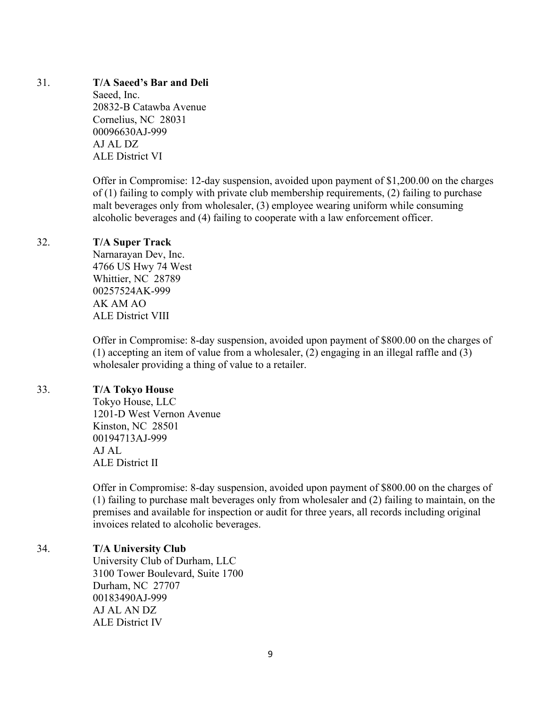#### 31. **T/A Saeed's Bar and Deli**

Saeed, Inc. 20832-B Catawba Avenue Cornelius, NC 28031 00096630AJ-999 AJ AL DZ ALE District VI

Offer in Compromise: 12-day suspension, avoided upon payment of \$1,200.00 on the charges of (1) failing to comply with private club membership requirements, (2) failing to purchase malt beverages only from wholesaler, (3) employee wearing uniform while consuming alcoholic beverages and (4) failing to cooperate with a law enforcement officer.

## 32. **T/A Super Track**

Narnarayan Dev, Inc. 4766 US Hwy 74 West Whittier, NC 28789 00257524AK-999 AK AM AO ALE District VIII

Offer in Compromise: 8-day suspension, avoided upon payment of \$800.00 on the charges of (1) accepting an item of value from a wholesaler, (2) engaging in an illegal raffle and (3) wholesaler providing a thing of value to a retailer.

#### 33. **T/A Tokyo House**

Tokyo House, LLC 1201-D West Vernon Avenue Kinston, NC 28501 00194713AJ-999 AJ AL ALE District II

Offer in Compromise: 8-day suspension, avoided upon payment of \$800.00 on the charges of (1) failing to purchase malt beverages only from wholesaler and (2) failing to maintain, on the premises and available for inspection or audit for three years, all records including original invoices related to alcoholic beverages.

# 34. **T/A University Club**

University Club of Durham, LLC 3100 Tower Boulevard, Suite 1700 Durham, NC 27707 00183490AJ-999 AJ AL AN DZ ALE District IV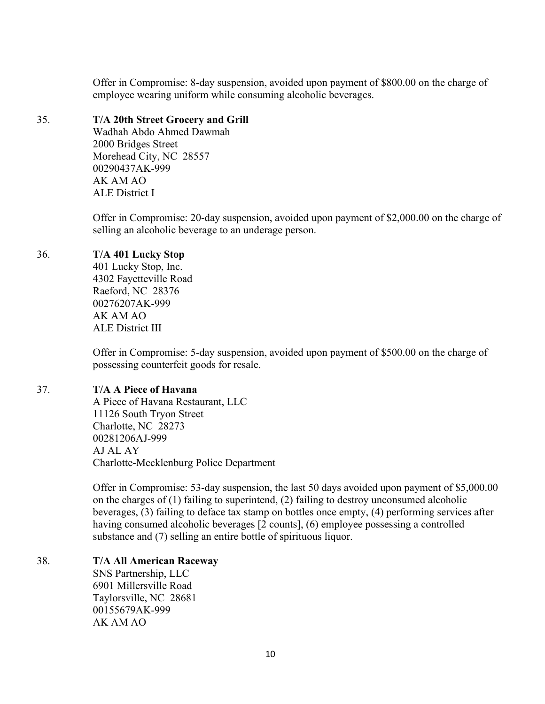Offer in Compromise: 8-day suspension, avoided upon payment of \$800.00 on the charge of employee wearing uniform while consuming alcoholic beverages.

## 35. **T/A 20th Street Grocery and Grill**

Wadhah Abdo Ahmed Dawmah 2000 Bridges Street Morehead City, NC 28557 00290437AK-999 AK AM AO ALE District I

Offer in Compromise: 20-day suspension, avoided upon payment of \$2,000.00 on the charge of selling an alcoholic beverage to an underage person.

# 36. **T/A 401 Lucky Stop**

401 Lucky Stop, Inc. 4302 Fayetteville Road Raeford, NC 28376 00276207AK-999 AK AM AO ALE District III

Offer in Compromise: 5-day suspension, avoided upon payment of \$500.00 on the charge of possessing counterfeit goods for resale.

# 37. **T/A A Piece of Havana**

A Piece of Havana Restaurant, LLC 11126 South Tryon Street Charlotte, NC 28273 00281206AJ-999 AJ AL AY Charlotte-Mecklenburg Police Department

Offer in Compromise: 53-day suspension, the last 50 days avoided upon payment of \$5,000.00 on the charges of (1) failing to superintend, (2) failing to destroy unconsumed alcoholic beverages, (3) failing to deface tax stamp on bottles once empty, (4) performing services after having consumed alcoholic beverages [2 counts], (6) employee possessing a controlled substance and (7) selling an entire bottle of spirituous liquor.

# 38. **T/A All American Raceway**

SNS Partnership, LLC 6901 Millersville Road Taylorsville, NC 28681 00155679AK-999 AK AM AO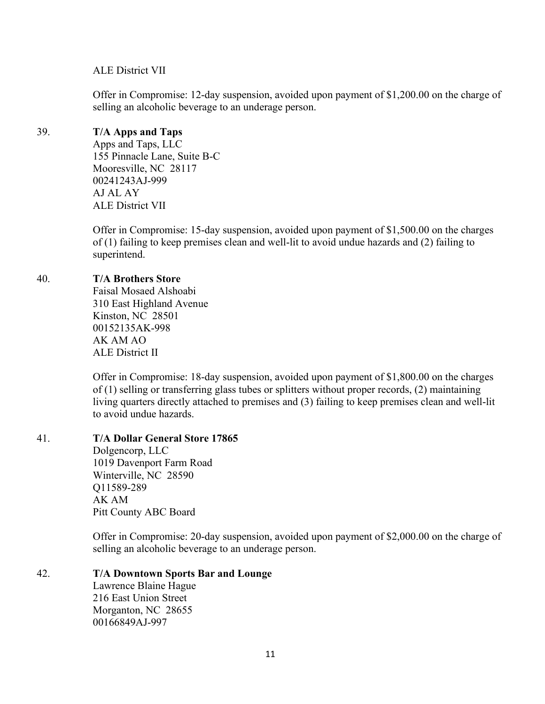#### ALE District VII

Offer in Compromise: 12-day suspension, avoided upon payment of \$1,200.00 on the charge of selling an alcoholic beverage to an underage person.

## 39. **T/A Apps and Taps**

Apps and Taps, LLC 155 Pinnacle Lane, Suite B-C Mooresville, NC 28117 00241243AJ-999 AJ AL AY ALE District VII

Offer in Compromise: 15-day suspension, avoided upon payment of \$1,500.00 on the charges of (1) failing to keep premises clean and well-lit to avoid undue hazards and (2) failing to superintend.

## 40. **T/A Brothers Store**

Faisal Mosaed Alshoabi 310 East Highland Avenue Kinston, NC 28501 00152135AK-998 AK AM AO ALE District II

Offer in Compromise: 18-day suspension, avoided upon payment of \$1,800.00 on the charges of (1) selling or transferring glass tubes or splitters without proper records, (2) maintaining living quarters directly attached to premises and (3) failing to keep premises clean and well-lit to avoid undue hazards.

#### 41. **T/A Dollar General Store 17865**

Dolgencorp, LLC 1019 Davenport Farm Road Winterville, NC 28590 Q11589-289 AK AM Pitt County ABC Board

Offer in Compromise: 20-day suspension, avoided upon payment of \$2,000.00 on the charge of selling an alcoholic beverage to an underage person.

#### 42. **T/A Downtown Sports Bar and Lounge**

Lawrence Blaine Hague 216 East Union Street Morganton, NC 28655 00166849AJ-997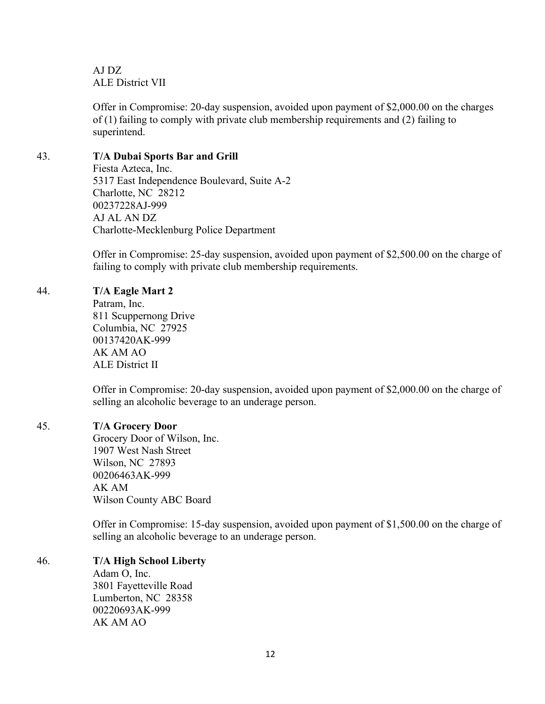AJ DZ ALE District VII

Offer in Compromise: 20-day suspension, avoided upon payment of \$2,000.00 on the charges of (1) failing to comply with private club membership requirements and (2) failing to superintend.

## 43. **T/A Dubai Sports Bar and Grill**

Fiesta Azteca, Inc. 5317 East Independence Boulevard, Suite A-2 Charlotte, NC 28212 00237228AJ-999 AJ AL AN DZ Charlotte-Mecklenburg Police Department

Offer in Compromise: 25-day suspension, avoided upon payment of \$2,500.00 on the charge of failing to comply with private club membership requirements.

## 44. **T/A Eagle Mart 2**

Patram, Inc. 811 Scuppernong Drive Columbia, NC 27925 00137420AK-999 AK AM AO ALE District II

Offer in Compromise: 20-day suspension, avoided upon payment of \$2,000.00 on the charge of selling an alcoholic beverage to an underage person.

### 45. **T/A Grocery Door**

Grocery Door of Wilson, Inc. 1907 West Nash Street Wilson, NC 27893 00206463AK-999 AK AM Wilson County ABC Board

Offer in Compromise: 15-day suspension, avoided upon payment of \$1,500.00 on the charge of selling an alcoholic beverage to an underage person.

# 46. **T/A High School Liberty**

Adam O, Inc. 3801 Fayetteville Road Lumberton, NC 28358 00220693AK-999 AK AM AO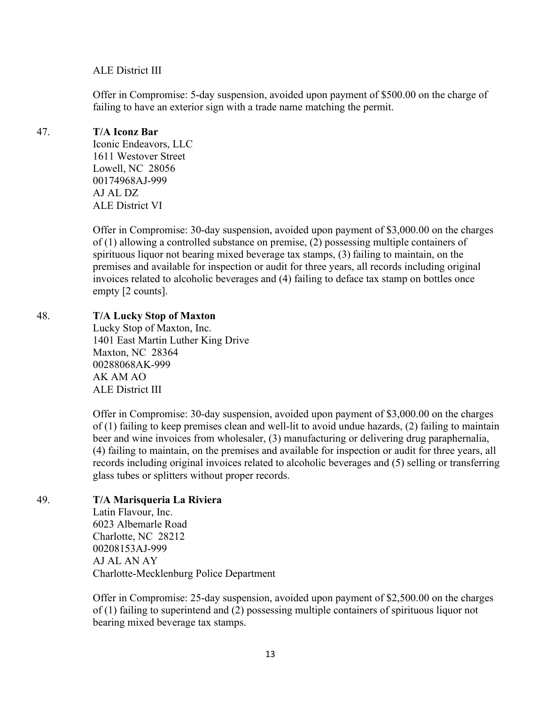#### ALE District III

Offer in Compromise: 5-day suspension, avoided upon payment of \$500.00 on the charge of failing to have an exterior sign with a trade name matching the permit.

## 47. **T/A Iconz Bar**

Iconic Endeavors, LLC 1611 Westover Street Lowell, NC 28056 00174968AJ-999 AJ AL DZ ALE District VI

Offer in Compromise: 30-day suspension, avoided upon payment of \$3,000.00 on the charges of (1) allowing a controlled substance on premise, (2) possessing multiple containers of spirituous liquor not bearing mixed beverage tax stamps, (3) failing to maintain, on the premises and available for inspection or audit for three years, all records including original invoices related to alcoholic beverages and (4) failing to deface tax stamp on bottles once empty [2 counts].

## 48. **T/A Lucky Stop of Maxton**

Lucky Stop of Maxton, Inc. 1401 East Martin Luther King Drive Maxton, NC 28364 00288068AK-999 AK AM AO ALE District III

Offer in Compromise: 30-day suspension, avoided upon payment of \$3,000.00 on the charges of (1) failing to keep premises clean and well-lit to avoid undue hazards, (2) failing to maintain beer and wine invoices from wholesaler, (3) manufacturing or delivering drug paraphernalia, (4) failing to maintain, on the premises and available for inspection or audit for three years, all records including original invoices related to alcoholic beverages and (5) selling or transferring glass tubes or splitters without proper records.

#### 49. **T/A Marisqueria La Riviera**

Latin Flavour, Inc. 6023 Albemarle Road Charlotte, NC 28212 00208153AJ-999 AJ AL AN AY Charlotte-Mecklenburg Police Department

Offer in Compromise: 25-day suspension, avoided upon payment of \$2,500.00 on the charges of (1) failing to superintend and (2) possessing multiple containers of spirituous liquor not bearing mixed beverage tax stamps.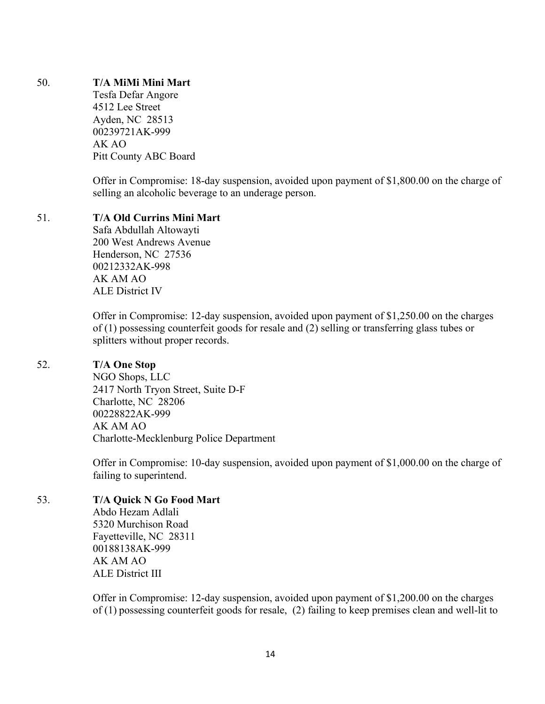### 50. **T/A MiMi Mini Mart**

Tesfa Defar Angore 4512 Lee Street Ayden, NC 28513 00239721AK-999 AK AO Pitt County ABC Board

Offer in Compromise: 18-day suspension, avoided upon payment of \$1,800.00 on the charge of selling an alcoholic beverage to an underage person.

## 51. **T/A Old Currins Mini Mart**

Safa Abdullah Altowayti 200 West Andrews Avenue Henderson, NC 27536 00212332AK-998 AK AM AO ALE District IV

Offer in Compromise: 12-day suspension, avoided upon payment of \$1,250.00 on the charges of (1) possessing counterfeit goods for resale and (2) selling or transferring glass tubes or splitters without proper records.

#### 52. **T/A One Stop**

NGO Shops, LLC 2417 North Tryon Street, Suite D-F Charlotte, NC 28206 00228822AK-999 AK AM AO Charlotte-Mecklenburg Police Department

Offer in Compromise: 10-day suspension, avoided upon payment of \$1,000.00 on the charge of failing to superintend.

# 53. **T/A Quick N Go Food Mart**

Abdo Hezam Adlali 5320 Murchison Road Fayetteville, NC 28311 00188138AK-999 AK AM AO ALE District III

Offer in Compromise: 12-day suspension, avoided upon payment of \$1,200.00 on the charges of (1) possessing counterfeit goods for resale, (2) failing to keep premises clean and well-lit to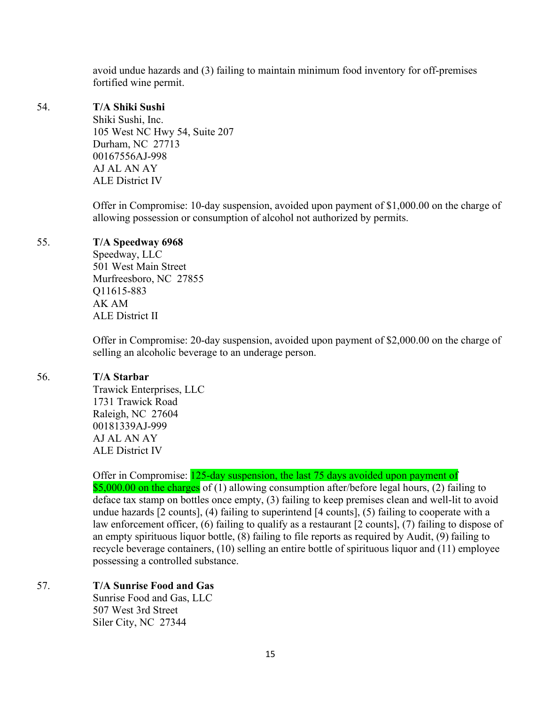avoid undue hazards and (3) failing to maintain minimum food inventory for off-premises fortified wine permit.

#### 54. **T/A Shiki Sushi**

Shiki Sushi, Inc. 105 West NC Hwy 54, Suite 207 Durham, NC 27713 00167556AJ-998 AJ AL AN AY ALE District IV

Offer in Compromise: 10-day suspension, avoided upon payment of \$1,000.00 on the charge of allowing possession or consumption of alcohol not authorized by permits.

# 55. **T/A Speedway 6968**

Speedway, LLC 501 West Main Street Murfreesboro, NC 27855 Q11615-883 AK AM ALE District II

Offer in Compromise: 20-day suspension, avoided upon payment of \$2,000.00 on the charge of selling an alcoholic beverage to an underage person.

# 56. **T/A Starbar**

Trawick Enterprises, LLC 1731 Trawick Road Raleigh, NC 27604 00181339AJ-999 AJ AL AN AY ALE District IV

# Offer in Compromise: 125-day suspension, the last 75 days avoided upon payment of

\$5,000.00 on the charges of (1) allowing consumption after/before legal hours, (2) failing to deface tax stamp on bottles once empty, (3) failing to keep premises clean and well-lit to avoid undue hazards [2 counts], (4) failing to superintend [4 counts], (5) failing to cooperate with a law enforcement officer, (6) failing to qualify as a restaurant [2 counts], (7) failing to dispose of an empty spirituous liquor bottle, (8) failing to file reports as required by Audit, (9) failing to recycle beverage containers, (10) selling an entire bottle of spirituous liquor and (11) employee possessing a controlled substance.

# 57. **T/A Sunrise Food and Gas**

Sunrise Food and Gas, LLC 507 West 3rd Street Siler City, NC 27344